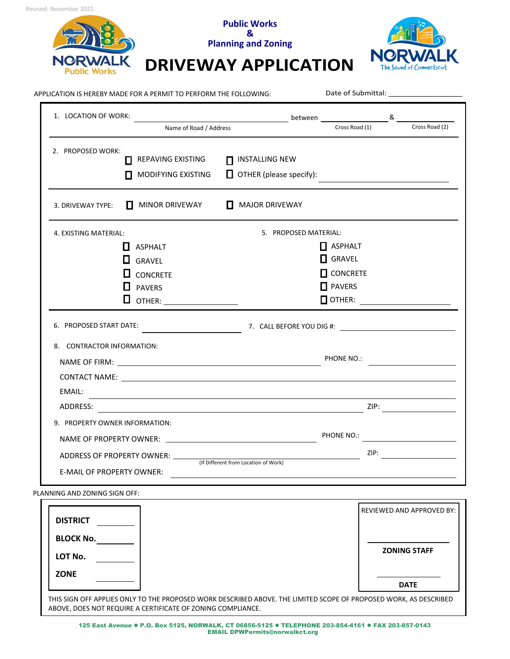



## APPLICATION IS HEREBY MADE FOR A PERMIT TO PERFORM THE FOLLOWING:

Date of Submittal:

| 1. LOCATION OF WORK:                                                 |                                                                                                                  |                                                                                                                                |                                                                     |      |                |
|----------------------------------------------------------------------|------------------------------------------------------------------------------------------------------------------|--------------------------------------------------------------------------------------------------------------------------------|---------------------------------------------------------------------|------|----------------|
|                                                                      | Name of Road / Address                                                                                           |                                                                                                                                | Cross Road (1)                                                      |      | Cross Road (2) |
| 2. PROPOSED WORK:<br>П<br>П                                          | REPAVING EXISTING<br>MODIFYING EXISTING                                                                          | <b>INSTALLING NEW</b><br>п<br>$\Box$ OTHER (please specify):                                                                   |                                                                     |      |                |
| 3. DRIVEWAY TYPE:<br>1 L                                             | MINOR DRIVEWAY                                                                                                   | <b>MAJOR DRIVEWAY</b><br>$\mathbf{L}$                                                                                          |                                                                     |      |                |
| 4. EXISTING MATERIAL:                                                |                                                                                                                  | 5. PROPOSED MATERIAL:                                                                                                          |                                                                     |      |                |
| ப<br>Ц<br>6. PROPOSED START DATE:<br>8. CONTRACTOR INFORMATION:      | $\mathbf{L}$ ASPHALT<br><b>GRAVEL</b><br><b>CONCRETE</b><br><b>PAVERS</b><br>OTHER: ______________________       | $\begin{bmatrix} 7. & \text{CALL BEFORE } 100 \end{bmatrix}$ Fig. $\begin{bmatrix} 7. & \text{CALL BEFORE } 100 \end{bmatrix}$ | $\Box$ ASPHALT<br>$\Box$ GRAVEL<br>$\Box$ CONCRETE<br>$\Box$ PAVERS |      |                |
| EMAIL:<br>ADDRESS:<br>9. PROPERTY OWNER INFORMATION:                 | and the control of the control of the control of the control of the control of the control of the control of the |                                                                                                                                |                                                                     |      |                |
| ADDRESS OF PROPERTY OWNER: _____<br><b>E-MAIL OF PROPERTY OWNER:</b> |                                                                                                                  | (If Different from Location of Work)                                                                                           | PHONE NO.:                                                          | ZIP: |                |

**Public Works &** 

PLANNING AND ZONING SIGN OFF:

| <b>DISTRICT</b>                                                                                                                                                                  |  | REVIEWED AND APPROVED BY: |  |  |
|----------------------------------------------------------------------------------------------------------------------------------------------------------------------------------|--|---------------------------|--|--|
| <b>BLOCK No.</b>                                                                                                                                                                 |  |                           |  |  |
| LOT No.                                                                                                                                                                          |  | <b>ZONING STAFF</b>       |  |  |
| <b>ZONE</b>                                                                                                                                                                      |  | <b>DATE</b>               |  |  |
|                                                                                                                                                                                  |  |                           |  |  |
| THIS SIGN OFF APPLIES ONLY TO THE PROPOSED WORK DESCRIBED ABOVE. THE LIMITED SCOPE OF PROPOSED WORK, AS DESCRIBED<br>ABOVE, DOES NOT REQUIRE A CERTIFICATE OF ZONING COMPLIANCE. |  |                           |  |  |